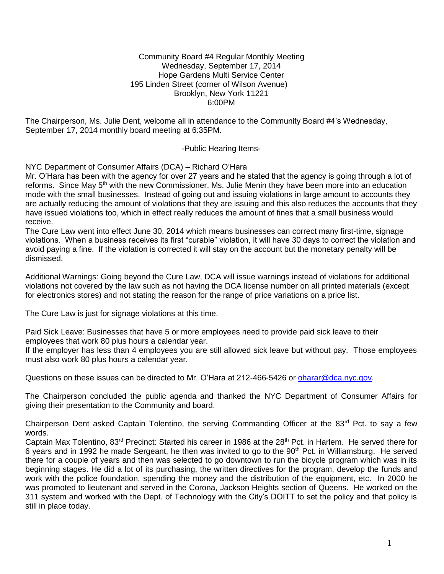#### Community Board #4 Regular Monthly Meeting Wednesday, September 17, 2014 Hope Gardens Multi Service Center 195 Linden Street (corner of Wilson Avenue) Brooklyn, New York 11221 6:00PM

The Chairperson, Ms. Julie Dent, welcome all in attendance to the Community Board #4's Wednesday, September 17, 2014 monthly board meeting at 6:35PM.

-Public Hearing Items-

NYC Department of Consumer Affairs (DCA) – Richard O'Hara

Mr. O'Hara has been with the agency for over 27 years and he stated that the agency is going through a lot of reforms. Since May 5<sup>th</sup> with the new Commissioner, Ms. Julie Menin they have been more into an education mode with the small businesses. Instead of going out and issuing violations in large amount to accounts they are actually reducing the amount of violations that they are issuing and this also reduces the accounts that they have issued violations too, which in effect really reduces the amount of fines that a small business would receive.

The Cure Law went into effect June 30, 2014 which means businesses can correct many first-time, signage violations. When a business receives its first "curable" violation, it will have 30 days to correct the violation and avoid paying a fine. If the violation is corrected it will stay on the account but the monetary penalty will be dismissed.

Additional Warnings: Going beyond the Cure Law, DCA will issue warnings instead of violations for additional violations not covered by the law such as not having the DCA license number on all printed materials (except for electronics stores) and not stating the reason for the range of price variations on a price list.

The Cure Law is just for signage violations at this time.

Paid Sick Leave: Businesses that have 5 or more employees need to provide paid sick leave to their employees that work 80 plus hours a calendar year.

If the employer has less than 4 employees you are still allowed sick leave but without pay. Those employees must also work 80 plus hours a calendar year.

Questions on these issues can be directed to Mr. O'Hara at 212-466-5426 or [oharar@dca.nyc.gov.](mailto:oharar@dca.nyc.gov)

The Chairperson concluded the public agenda and thanked the NYC Department of Consumer Affairs for giving their presentation to the Community and board.

Chairperson Dent asked Captain Tolentino, the serving Commanding Officer at the 83<sup>rd</sup> Pct. to say a few words.

Captain Max Tolentino, 83<sup>rd</sup> Precinct: Started his career in 1986 at the 28<sup>th</sup> Pct. in Harlem. He served there for 6 years and in 1992 he made Sergeant, he then was invited to go to the 90<sup>th</sup> Pct. in Williamsburg. He served there for a couple of years and then was selected to go downtown to run the bicycle program which was in its beginning stages. He did a lot of its purchasing, the written directives for the program, develop the funds and work with the police foundation, spending the money and the distribution of the equipment, etc. In 2000 he was promoted to lieutenant and served in the Corona, Jackson Heights section of Queens. He worked on the 311 system and worked with the Dept. of Technology with the City's DOITT to set the policy and that policy is still in place today.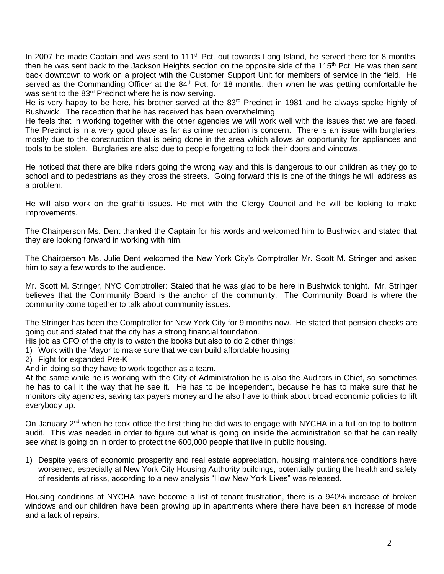In 2007 he made Captain and was sent to 111<sup>th</sup> Pct. out towards Long Island, he served there for 8 months, then he was sent back to the Jackson Heights section on the opposite side of the 115<sup>th</sup> Pct. He was then sent back downtown to work on a project with the Customer Support Unit for members of service in the field. He served as the Commanding Officer at the 84<sup>th</sup> Pct. for 18 months, then when he was getting comfortable he was sent to the 83rd Precinct where he is now serving.

He is very happy to be here, his brother served at the 83<sup>rd</sup> Precinct in 1981 and he always spoke highly of Bushwick. The reception that he has received has been overwhelming.

He feels that in working together with the other agencies we will work well with the issues that we are faced. The Precinct is in a very good place as far as crime reduction is concern. There is an issue with burglaries, mostly due to the construction that is being done in the area which allows an opportunity for appliances and tools to be stolen. Burglaries are also due to people forgetting to lock their doors and windows.

He noticed that there are bike riders going the wrong way and this is dangerous to our children as they go to school and to pedestrians as they cross the streets. Going forward this is one of the things he will address as a problem.

He will also work on the graffiti issues. He met with the Clergy Council and he will be looking to make improvements.

The Chairperson Ms. Dent thanked the Captain for his words and welcomed him to Bushwick and stated that they are looking forward in working with him.

The Chairperson Ms. Julie Dent welcomed the New York City's Comptroller Mr. Scott M. Stringer and asked him to say a few words to the audience.

Mr. Scott M. Stringer, NYC Comptroller: Stated that he was glad to be here in Bushwick tonight. Mr. Stringer believes that the Community Board is the anchor of the community. The Community Board is where the community come together to talk about community issues.

The Stringer has been the Comptroller for New York City for 9 months now. He stated that pension checks are going out and stated that the city has a strong financial foundation.

- His job as CFO of the city is to watch the books but also to do 2 other things:
- 1) Work with the Mayor to make sure that we can build affordable housing
- 2) Fight for expanded Pre-K
- And in doing so they have to work together as a team.

At the same while he is working with the City of Administration he is also the Auditors in Chief, so sometimes he has to call it the way that he see it. He has to be independent, because he has to make sure that he monitors city agencies, saving tax payers money and he also have to think about broad economic policies to lift everybody up.

On January 2<sup>nd</sup> when he took office the first thing he did was to engage with NYCHA in a full on top to bottom audit. This was needed in order to figure out what is going on inside the administration so that he can really see what is going on in order to protect the 600,000 people that live in public housing.

1) Despite years of economic prosperity and real estate appreciation, housing maintenance conditions have worsened, especially at New York City Housing Authority buildings, potentially putting the health and safety of residents at risks, according to a new analysis "How New York Lives" was released.

Housing conditions at NYCHA have become a list of tenant frustration, there is a 940% increase of broken windows and our children have been growing up in apartments where there have been an increase of mode and a lack of repairs.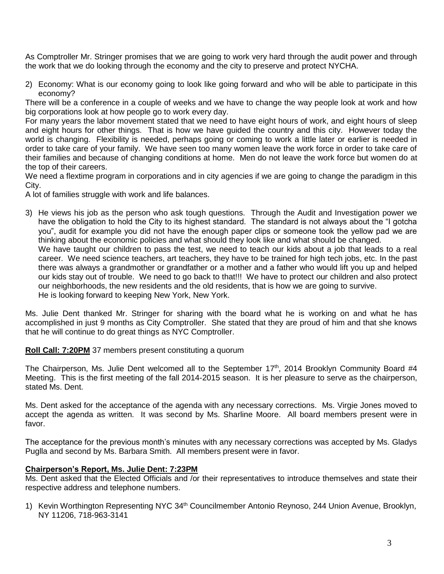As Comptroller Mr. Stringer promises that we are going to work very hard through the audit power and through the work that we do looking through the economy and the city to preserve and protect NYCHA.

2) Economy: What is our economy going to look like going forward and who will be able to participate in this economy?

There will be a conference in a couple of weeks and we have to change the way people look at work and how big corporations look at how people go to work every day.

For many years the labor movement stated that we need to have eight hours of work, and eight hours of sleep and eight hours for other things. That is how we have guided the country and this city. However today the world is changing. Flexibility is needed, perhaps going or coming to work a little later or earlier is needed in order to take care of your family. We have seen too many women leave the work force in order to take care of their families and because of changing conditions at home. Men do not leave the work force but women do at the top of their careers.

We need a flextime program in corporations and in city agencies if we are going to change the paradigm in this City.

A lot of families struggle with work and life balances.

3) He views his job as the person who ask tough questions. Through the Audit and Investigation power we have the obligation to hold the City to its highest standard. The standard is not always about the "I gotcha you", audit for example you did not have the enough paper clips or someone took the yellow pad we are thinking about the economic policies and what should they look like and what should be changed. We have taught our children to pass the test, we need to teach our kids about a job that leads to a real career. We need science teachers, art teachers, they have to be trained for high tech jobs, etc. In the past there was always a grandmother or grandfather or a mother and a father who would lift you up and helped our kids stay out of trouble. We need to go back to that!!! We have to protect our children and also protect

our neighborhoods, the new residents and the old residents, that is how we are going to survive.

He is looking forward to keeping New York, New York.

Ms. Julie Dent thanked Mr. Stringer for sharing with the board what he is working on and what he has accomplished in just 9 months as City Comptroller. She stated that they are proud of him and that she knows that he will continue to do great things as NYC Comptroller.

**Roll Call: 7:20PM** 37 members present constituting a quorum

The Chairperson, Ms. Julie Dent welcomed all to the September 17<sup>th</sup>, 2014 Brooklyn Community Board #4 Meeting. This is the first meeting of the fall 2014-2015 season. It is her pleasure to serve as the chairperson, stated Ms. Dent.

Ms. Dent asked for the acceptance of the agenda with any necessary corrections. Ms. Virgie Jones moved to accept the agenda as written. It was second by Ms. Sharline Moore. All board members present were in favor.

The acceptance for the previous month's minutes with any necessary corrections was accepted by Ms. Gladys Puglla and second by Ms. Barbara Smith. All members present were in favor.

# **Chairperson's Report, Ms. Julie Dent: 7:23PM**

Ms. Dent asked that the Elected Officials and /or their representatives to introduce themselves and state their respective address and telephone numbers.

1) Kevin Worthington Representing NYC 34<sup>th</sup> Councilmember Antonio Reynoso, 244 Union Avenue, Brooklyn, NY 11206, 718-963-3141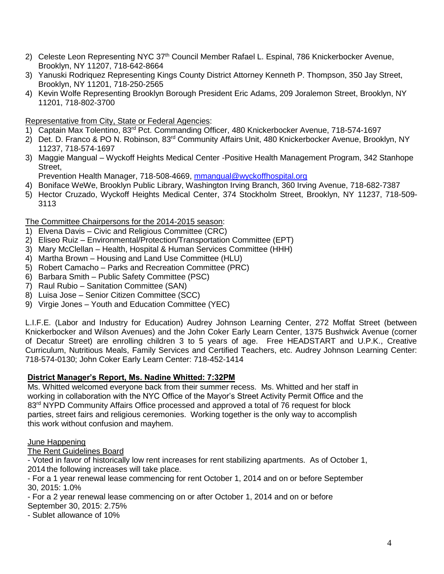- 2) Celeste Leon Representing NYC 37<sup>th</sup> Council Member Rafael L. Espinal, 786 Knickerbocker Avenue, Brooklyn, NY 11207, 718-642-8664
- 3) Yanuski Rodriquez Representing Kings County District Attorney Kenneth P. Thompson, 350 Jay Street, Brooklyn, NY 11201, 718-250-2565
- 4) Kevin Wolfe Representing Brooklyn Borough President Eric Adams, 209 Joralemon Street, Brooklyn, NY 11201, 718-802-3700

# Representative from City, State or Federal Agencies:

- 1) Captain Max Tolentino, 83<sup>rd</sup> Pct. Commanding Officer, 480 Knickerbocker Avenue, 718-574-1697
- 2) Det. D. Franco & PO N. Robinson, 83rd Community Affairs Unit, 480 Knickerbocker Avenue, Brooklyn, NY 11237, 718-574-1697
- 3) Maggie Mangual Wyckoff Heights Medical Center -Positive Health Management Program, 342 Stanhope Street,

Prevention Health Manager, 718-508-4669, [mmangual@wyckoffhospital.org](mailto:mmangual@wyckoffhospital.org)

- 4) Boniface WeWe, Brooklyn Public Library, Washington Irving Branch, 360 Irving Avenue, 718-682-7387
- 5) Hector Cruzado, Wyckoff Heights Medical Center, 374 Stockholm Street, Brooklyn, NY 11237, 718-509- 3113

## The Committee Chairpersons for the 2014-2015 season:

- 1) Elvena Davis Civic and Religious Committee (CRC)
- 2) Eliseo Ruiz Environmental/Protection/Transportation Committee (EPT)
- 3) Mary McClellan Health, Hospital & Human Services Committee (HHH)
- 4) Martha Brown Housing and Land Use Committee (HLU)
- 5) Robert Camacho Parks and Recreation Committee (PRC)
- 6) Barbara Smith Public Safety Committee (PSC)
- 7) Raul Rubio Sanitation Committee (SAN)
- 8) Luisa Jose Senior Citizen Committee (SCC)
- 9) Virgie Jones Youth and Education Committee (YEC)

L.I.F.E. (Labor and Industry for Education) Audrey Johnson Learning Center, 272 Moffat Street (between Knickerbocker and Wilson Avenues) and the John Coker Early Learn Center, 1375 Bushwick Avenue (corner of Decatur Street) are enrolling children 3 to 5 years of age. Free HEADSTART and U.P.K., Creative Curriculum, Nutritious Meals, Family Services and Certified Teachers, etc. Audrey Johnson Learning Center: 718-574-0130; John Coker Early Learn Center: 718-452-1414

### **District Manager's Report, Ms. Nadine Whitted: 7:32PM**

Ms. Whitted welcomed everyone back from their summer recess. Ms. Whitted and her staff in working in collaboration with the NYC Office of the Mayor's Street Activity Permit Office and the 83<sup>rd</sup> NYPD Community Affairs Office processed and approved a total of 76 request for block parties, street fairs and religious ceremonies. Working together is the only way to accomplish this work without confusion and mayhem.

### June Happening

The Rent Guidelines Board

- Voted in favor of historically low rent increases for rent stabilizing apartments. As of October 1, 2014 the following increases will take place.

- For a 1 year renewal lease commencing for rent October 1, 2014 and on or before September 30, 2015: 1.0%

- For a 2 year renewal lease commencing on or after October 1, 2014 and on or before September 30, 2015: 2.75%

- Sublet allowance of 10%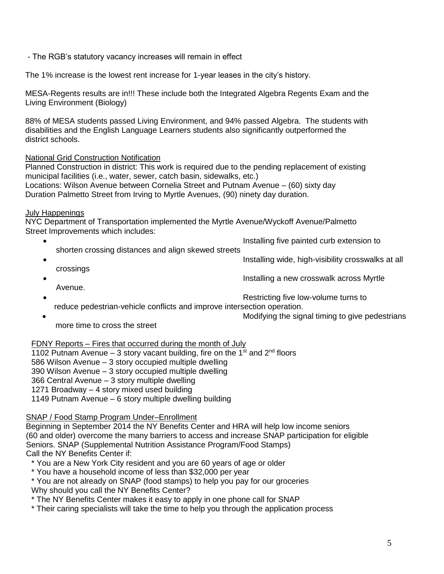- The RGB's statutory vacancy increases will remain in effect

The 1% increase is the lowest rent increase for 1-year leases in the city's history.

MESA-Regents results are in!!! These include both the Integrated Algebra Regents Exam and the Living Environment (Biology)

88% of MESA students passed Living Environment, and 94% passed Algebra. The students with disabilities and the English Language Learners students also significantly outperformed the district schools.

## National Grid Construction Notification

Planned Construction in district: This work is required due to the pending replacement of existing municipal facilities (i.e., water, sewer, catch basin, sidewalks, etc.) Locations: Wilson Avenue between Cornelia Street and Putnam Avenue – (60) sixty day Duration Palmetto Street from Irving to Myrtle Avenues, (90) ninety day duration.

### July Happenings

NYC Department of Transportation implemented the Myrtle Avenue/Wyckoff Avenue/Palmetto Street Improvements which includes:

- Installing five painted curb extension to
- shorten crossing distances and align skewed streets
- Installing wide, high-visibility crosswalks at all
- crossings
- Installing a new crosswalk across Myrtle Avenue.
	-
- **•** Restricting five low-volume turns to **Restricting** five low-volume turns to
- reduce pedestrian-vehicle conflicts and improve intersection operation.
	- Modifying the signal timing to give pedestrians

more time to cross the street

### FDNY Reports – Fires that occurred during the month of July

1102 Putnam Avenue – 3 story vacant building, fire on the 1<sup>st</sup> and 2<sup>nd</sup> floors

586 Wilson Avenue – 3 story occupied multiple dwelling

390 Wilson Avenue – 3 story occupied multiple dwelling

366 Central Avenue – 3 story multiple dwelling

1271 Broadway – 4 story mixed used building

1149 Putnam Avenue – 6 story multiple dwelling building

### SNAP / Food Stamp Program Under–Enrollment

 Beginning in September 2014 the NY Benefits Center and HRA will help low income seniors (60 and older) overcome the many barriers to access and increase SNAP participation for eligible Seniors. SNAP (Supplemental Nutrition Assistance Program/Food Stamps) Call the NY Benefits Center if:

- \* You are a New York City resident and you are 60 years of age or older
- \* You have a household income of less than \$32,000 per year
- \* You are not already on SNAP (food stamps) to help you pay for our groceries

Why should you call the NY Benefits Center?

- \* The NY Benefits Center makes it easy to apply in one phone call for SNAP
- \* Their caring specialists will take the time to help you through the application process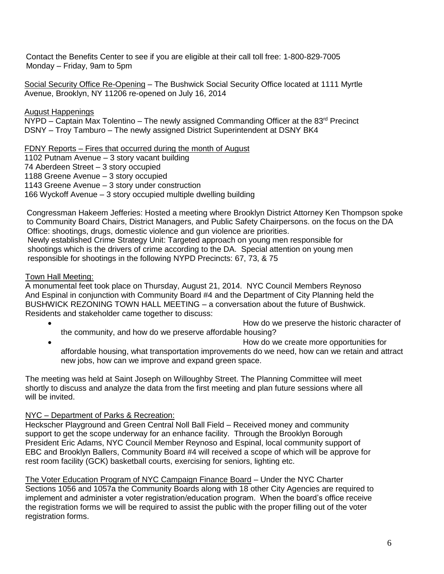Contact the Benefits Center to see if you are eligible at their call toll free: 1-800-829-7005 Monday – Friday, 9am to 5pm

 Social Security Office Re-Opening – The Bushwick Social Security Office located at 1111 Myrtle Avenue, Brooklyn, NY 11206 re-opened on July 16, 2014

August Happenings

NYPD – Captain Max Tolentino – The newly assigned Commanding Officer at the 83<sup>rd</sup> Precinct DSNY – Troy Tamburo – The newly assigned District Superintendent at DSNY BK4

FDNY Reports – Fires that occurred during the month of August

1102 Putnam Avenue – 3 story vacant building

74 Aberdeen Street – 3 story occupied

1188 Greene Avenue – 3 story occupied

1143 Greene Avenue – 3 story under construction

166 Wyckoff Avenue – 3 story occupied multiple dwelling building

 Congressman Hakeem Jefferies: Hosted a meeting where Brooklyn District Attorney Ken Thompson spoke to Community Board Chairs, District Managers, and Public Safety Chairpersons. on the focus on the DA Office: shootings, drugs, domestic violence and gun violence are priorities. Newly established Crime Strategy Unit: Targeted approach on young men responsible for shootings which is the drivers of crime according to the DA. Special attention on young men responsible for shootings in the following NYPD Precincts: 67, 73, & 75

## Town Hall Meeting:

A monumental feet took place on Thursday, August 21, 2014. NYC Council Members Reynoso And Espinal in conjunction with Community Board #4 and the Department of City Planning held the BUSHWICK REZONING TOWN HALL MEETING – a conversation about the future of Bushwick. Residents and stakeholder came together to discuss:

- How do we preserve the historic character of the community, and how do we preserve affordable housing? How do we create more opportunities for
- affordable housing, what transportation improvements do we need, how can we retain and attract new jobs, how can we improve and expand green space.

The meeting was held at Saint Joseph on Willoughby Street. The Planning Committee will meet shortly to discuss and analyze the data from the first meeting and plan future sessions where all will be invited.

# NYC – Department of Parks & Recreation:

Heckscher Playground and Green Central Noll Ball Field – Received money and community support to get the scope underway for an enhance facility. Through the Brooklyn Borough President Eric Adams, NYC Council Member Reynoso and Espinal, local community support of EBC and Brooklyn Ballers, Community Board #4 will received a scope of which will be approve for rest room facility (GCK) basketball courts, exercising for seniors, lighting etc.

The Voter Education Program of NYC Campaign Finance Board – Under the NYC Charter Sections 1056 and 1057a the Community Boards along with 18 other City Agencies are required to implement and administer a voter registration/education program. When the board's office receive the registration forms we will be required to assist the public with the proper filling out of the voter registration forms.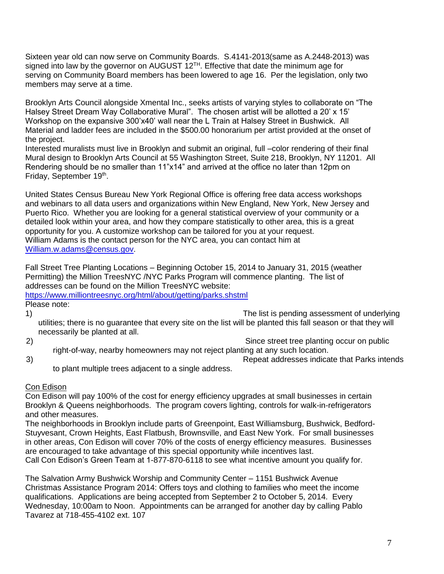Sixteen year old can now serve on Community Boards. S.4141-2013(same as A.2448-2013) was signed into law by the governor on AUGUST  $12^{TH}$ . Effective that date the minimum age for serving on Community Board members has been lowered to age 16. Per the legislation, only two members may serve at a time.

Brooklyn Arts Council alongside Xmental Inc., seeks artists of varying styles to collaborate on "The Halsey Street Dream Way Collaborative Mural". The chosen artist will be allotted a 20' x 15' Workshop on the expansive 300'x40' wall near the L Train at Halsey Street in Bushwick. All Material and ladder fees are included in the \$500.00 honorarium per artist provided at the onset of the project.

Interested muralists must live in Brooklyn and submit an original, full –color rendering of their final Mural design to Brooklyn Arts Council at 55 Washington Street, Suite 218, Brooklyn, NY 11201. All Rendering should be no smaller than 11"x14" and arrived at the office no later than 12pm on Friday, September 19<sup>th</sup>.

United States Census Bureau New York Regional Office is offering free data access workshops and webinars to all data users and organizations within New England, New York, New Jersey and Puerto Rico. Whether you are looking for a general statistical overview of your community or a detailed look within your area, and how they compare statistically to other area, this is a great opportunity for you. A customize workshop can be tailored for you at your request. William Adams is the contact person for the NYC area, you can contact him at [William.w.adams@census.gov.](mailto:William.w.adams@census.gov)

Fall Street Tree Planting Locations – Beginning October 15, 2014 to January 31, 2015 (weather Permitting) the Million TreesNYC /NYC Parks Program will commence planting. The list of addresses can be found on the Million TreesNYC website: <https://www.milliontreesnyc.org/html/about/getting/parks.shstml>

Please note:

1) The list is pending assessment of underlying utilities; there is no guarantee that every site on the list will be planted this fall season or that they will necessarily be planted at all.

2) Since street tree planting occur on public right-of-way, nearby homeowners may not reject planting at any such location.

3) Repeat addresses indicate that Parks intends

to plant multiple trees adjacent to a single address.

### Con Edison

Con Edison will pay 100% of the cost for energy efficiency upgrades at small businesses in certain Brooklyn & Queens neighborhoods. The program covers lighting, controls for walk-in-refrigerators and other measures.

The neighborhoods in Brooklyn include parts of Greenpoint, East Williamsburg, Bushwick, Bedford-Stuyvesant, Crown Heights, East Flatbush, Brownsville, and East New York. For small businesses in other areas, Con Edison will cover 70% of the costs of energy efficiency measures. Businesses are encouraged to take advantage of this special opportunity while incentives last.

Call Con Edison's Green Team at 1-877-870-6118 to see what incentive amount you qualify for.

The Salvation Army Bushwick Worship and Community Center – 1151 Bushwick Avenue Christmas Assistance Program 2014: Offers toys and clothing to families who meet the income qualifications. Applications are being accepted from September 2 to October 5, 2014. Every Wednesday, 10:00am to Noon. Appointments can be arranged for another day by calling Pablo Tavarez at 718-455-4102 ext. 107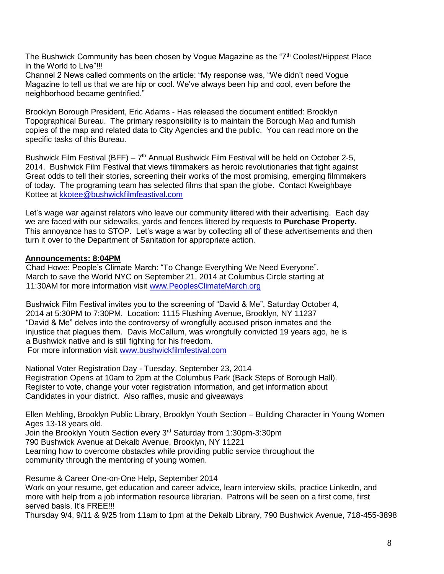The Bushwick Community has been chosen by Vogue Magazine as the "7<sup>th</sup> Coolest/Hippest Place in the World to Live"!!!

Channel 2 News called comments on the article: "My response was, "We didn't need Vogue Magazine to tell us that we are hip or cool. We've always been hip and cool, even before the neighborhood became gentrified."

Brooklyn Borough President, Eric Adams - Has released the document entitled: Brooklyn Topographical Bureau. The primary responsibility is to maintain the Borough Map and furnish copies of the map and related data to City Agencies and the public. You can read more on the specific tasks of this Bureau.

Bushwick Film Festival (BFF) – 7<sup>th</sup> Annual Bushwick Film Festival will be held on October 2-5, 2014. Bushwick Film Festival that views filmmakers as heroic revolutionaries that fight against Great odds to tell their stories, screening their works of the most promising, emerging filmmakers of today. The programing team has selected films that span the globe. Contact Kweighbaye Kottee at [kkotee@bushwickfilmfeastival.com](mailto:kkotee@bushwickfilmfeastival.com) 

Let's wage war against relators who leave our community littered with their advertising. Each day we are faced with our sidewalks, yards and fences littered by requests to **Purchase Property.**  This annoyance has to STOP. Let's wage a war by collecting all of these advertisements and then turn it over to the Department of Sanitation for appropriate action.

### **Announcements: 8:04PM**

 Chad Howe: People's Climate March: "To Change Everything We Need Everyone", March to save the World NYC on September 21, 2014 at Columbus Circle starting at 11:30AM for more information visit [www.PeoplesClimateMarch.org](http://www.peoplesclimatemarch.org/)

 Bushwick Film Festival invites you to the screening of "David & Me", Saturday October 4, 2014 at 5:30PM to 7:30PM. Location: 1115 Flushing Avenue, Brooklyn, NY 11237 "David & Me" delves into the controversy of wrongfully accused prison inmates and the injustice that plagues them. Davis McCallum, was wrongfully convicted 19 years ago, he is a Bushwick native and is still fighting for his freedom. For more information visit [www.bushwickfilmfestival.com](http://www.bushwickfilmfestival.com/)

National Voter Registration Day - Tuesday, September 23, 2014 Registration Opens at 10am to 2pm at the Columbus Park (Back Steps of Borough Hall). Register to vote, change your voter registration information, and get information about Candidates in your district. Also raffles, music and giveaways

Ellen Mehling, Brooklyn Public Library, Brooklyn Youth Section – Building Character in Young Women Ages 13-18 years old. Join the Brooklyn Youth Section every 3rd Saturday from 1:30pm-3:30pm 790 Bushwick Avenue at Dekalb Avenue, Brooklyn, NY 11221 Learning how to overcome obstacles while providing public service throughout the community through the mentoring of young women.

Resume & Career One-on-One Help, September 2014 Work on your resume, get education and career advice, learn interview skills, practice Linkedln, and more with help from a job information resource librarian. Patrons will be seen on a first come, first served basis. It's FREE!!!

Thursday 9/4, 9/11 & 9/25 from 11am to 1pm at the Dekalb Library, 790 Bushwick Avenue, 718-455-3898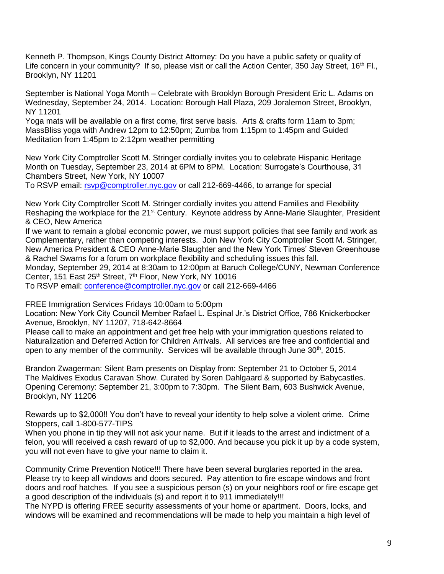Kenneth P. Thompson, Kings County District Attorney: Do you have a public safety or quality of Life concern in your community? If so, please visit or call the Action Center, 350 Jay Street, 16<sup>th</sup> Fl., Brooklyn, NY 11201

September is National Yoga Month – Celebrate with Brooklyn Borough President Eric L. Adams on Wednesday, September 24, 2014. Location: Borough Hall Plaza, 209 Joralemon Street, Brooklyn, NY 11201

Yoga mats will be available on a first come, first serve basis. Arts & crafts form 11am to 3pm; MassBliss yoga with Andrew 12pm to 12:50pm; Zumba from 1:15pm to 1:45pm and Guided Meditation from 1:45pm to 2:12pm weather permitting

New York City Comptroller Scott M. Stringer cordially invites you to celebrate Hispanic Heritage Month on Tuesday, September 23, 2014 at 6PM to 8PM. Location: Surrogate's Courthouse, 31 Chambers Street, New York, NY 10007

To RSVP email: [rsvp@comptroller.nyc.gov](mailto:rsvp@comptroller.nyc.gov) or call 212-669-4466, to arrange for special

New York City Comptroller Scott M. Stringer cordially invites you attend Families and Flexibility Reshaping the workplace for the 21<sup>st</sup> Century. Keynote address by Anne-Marie Slaughter, President & CEO, New America

If we want to remain a global economic power, we must support policies that see family and work as Complementary, rather than competing interests. Join New York City Comptroller Scott M. Stringer, New America President & CEO Anne-Marie Slaughter and the New York Times' Steven Greenhouse & Rachel Swarns for a forum on workplace flexibility and scheduling issues this fall.

Monday, September 29, 2014 at 8:30am to 12:00pm at Baruch College/CUNY, Newman Conference Center, 151 East 25<sup>th</sup> Street, 7<sup>th</sup> Floor, New York, NY 10016

To RSVP email: [conference@comptroller.nyc.gov](mailto:conference@comptroller.nyc.gov) or call 212-669-4466

FREE Immigration Services Fridays 10:00am to 5:00pm

Location: New York City Council Member Rafael L. Espinal Jr.'s District Office, 786 Knickerbocker Avenue, Brooklyn, NY 11207, 718-642-8664

Please call to make an appointment and get free help with your immigration questions related to Naturalization and Deferred Action for Children Arrivals. All services are free and confidential and open to any member of the community. Services will be available through June 30<sup>th</sup>, 2015.

Brandon Zwagerman: Silent Barn presents on Display from: September 21 to October 5, 2014 The Maldives Exodus Caravan Show. Curated by Soren Dahlgaard & supported by Babycastles. Opening Ceremony: September 21, 3:00pm to 7:30pm. The Silent Barn, 603 Bushwick Avenue, Brooklyn, NY 11206

Rewards up to \$2,000!! You don't have to reveal your identity to help solve a violent crime. Crime Stoppers, call 1-800-577-TIPS

When you phone in tip they will not ask your name. But if it leads to the arrest and indictment of a felon, you will received a cash reward of up to \$2,000. And because you pick it up by a code system, you will not even have to give your name to claim it.

Community Crime Prevention Notice!!! There have been several burglaries reported in the area. Please try to keep all windows and doors secured. Pay attention to fire escape windows and front doors and roof hatches. If you see a suspicious person (s) on your neighbors roof or fire escape get a good description of the individuals (s) and report it to 911 immediately!!!

The NYPD is offering FREE security assessments of your home or apartment. Doors, locks, and windows will be examined and recommendations will be made to help you maintain a high level of